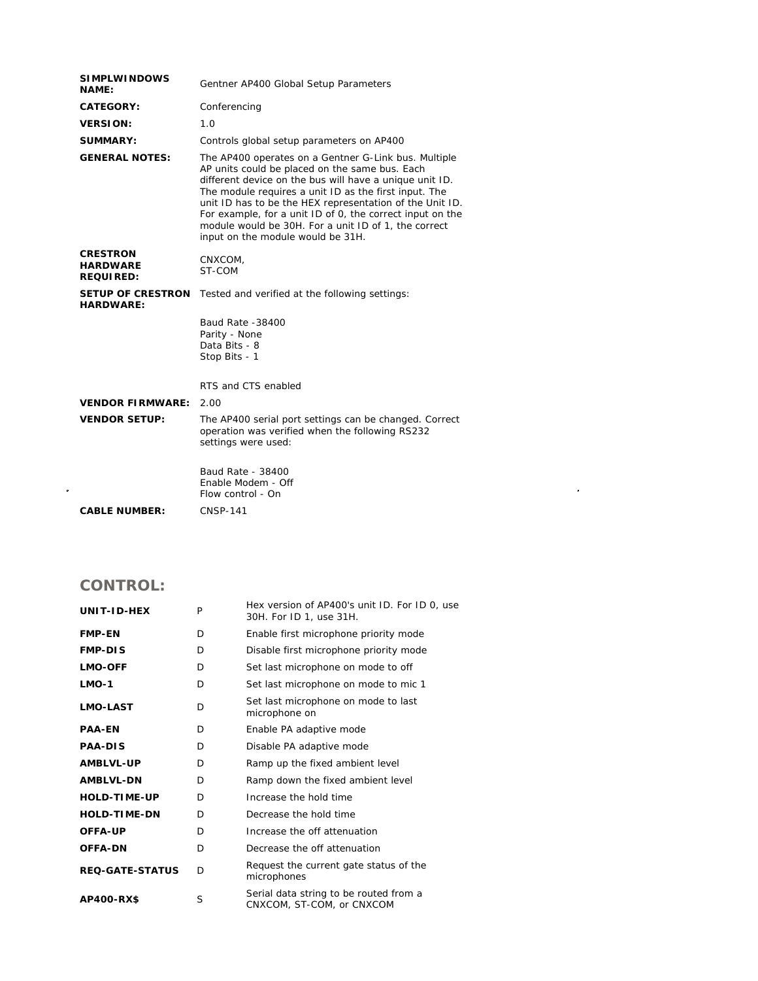| <b>SIMPLWINDOWS</b><br><b>NAME:</b>                    | Gentner AP400 Global Setup Parameters                                                                                                                                                                                                                                                                                                                                                                                                            |
|--------------------------------------------------------|--------------------------------------------------------------------------------------------------------------------------------------------------------------------------------------------------------------------------------------------------------------------------------------------------------------------------------------------------------------------------------------------------------------------------------------------------|
| CATEGORY:                                              | Conferencing                                                                                                                                                                                                                                                                                                                                                                                                                                     |
| <b>VERSION:</b>                                        | 1.0                                                                                                                                                                                                                                                                                                                                                                                                                                              |
| <b>SUMMARY:</b>                                        | Controls global setup parameters on AP400                                                                                                                                                                                                                                                                                                                                                                                                        |
| <b>GENERAL NOTES:</b>                                  | The AP400 operates on a Gentner G-Link bus. Multiple<br>AP units could be placed on the same bus. Each<br>different device on the bus will have a unique unit ID.<br>The module requires a unit ID as the first input. The<br>unit ID has to be the HEX representation of the Unit ID.<br>For example, for a unit ID of 0, the correct input on the<br>module would be 30H. For a unit ID of 1, the correct<br>input on the module would be 31H. |
| <b>CRESTRON</b><br><b>HARDWARE</b><br><b>REQUIRED:</b> | CNXCOM,<br>ST-COM                                                                                                                                                                                                                                                                                                                                                                                                                                |
| <b>SETUP OF CRESTRON</b><br><b>HARDWARE:</b>           | Tested and verified at the following settings:                                                                                                                                                                                                                                                                                                                                                                                                   |
|                                                        | Baud Rate -38400<br>Parity - None<br>Data Bits - 8<br>Stop Bits - 1                                                                                                                                                                                                                                                                                                                                                                              |
|                                                        | RTS and CTS enabled                                                                                                                                                                                                                                                                                                                                                                                                                              |
| <b>VENDOR FIRMWARE:</b>                                | 2.00                                                                                                                                                                                                                                                                                                                                                                                                                                             |
| <b>VENDOR SETUP:</b>                                   | The AP400 serial port settings can be changed. Correct<br>operation was verified when the following RS232<br>settings were used:                                                                                                                                                                                                                                                                                                                 |
|                                                        | Baud Rate - 38400<br>Enable Modem - Off<br>Flow control - On                                                                                                                                                                                                                                                                                                                                                                                     |
| <b>CABLE NUMBER:</b>                                   | <b>CNSP-141</b>                                                                                                                                                                                                                                                                                                                                                                                                                                  |

 $\label{eq:2.1} \frac{1}{\sqrt{2}}\int_{\mathbb{R}^3}\frac{1}{\sqrt{2}}\left(\frac{1}{\sqrt{2}}\right)^2\frac{1}{\sqrt{2}}\left(\frac{1}{\sqrt{2}}\right)^2\frac{1}{\sqrt{2}}\left(\frac{1}{\sqrt{2}}\right)^2\frac{1}{\sqrt{2}}\left(\frac{1}{\sqrt{2}}\right)^2.$ 

## **CONTROL:**

| UNIT-ID-HEX            | P  | Hex version of AP400's unit ID. For ID 0, use<br>30H. For ID 1, use 31H. |  |
|------------------------|----|--------------------------------------------------------------------------|--|
| <b>FMP-EN</b>          | D  | Enable first microphone priority mode                                    |  |
| <b>FMP-DIS</b>         | D. | Disable first microphone priority mode                                   |  |
| <b>LMO-OFF</b>         | D  | Set last microphone on mode to off                                       |  |
| $LMO-1$                | D  | Set last microphone on mode to mic 1                                     |  |
| <b>LMO-LAST</b>        | D  | Set last microphone on mode to last<br>microphone on                     |  |
| <b>PAA-EN</b>          | D. | Enable PA adaptive mode                                                  |  |
| <b>PAA-DIS</b>         | D  | Disable PA adaptive mode                                                 |  |
| <b>AMBLVL-UP</b>       | D  | Ramp up the fixed ambient level                                          |  |
| <b>AMBLVL-DN</b>       | D  | Ramp down the fixed ambient level                                        |  |
| <b>HOLD-TIME-UP</b>    | D. | Increase the hold time                                                   |  |
| <b>HOLD-TIME-DN</b>    | D  | Decrease the hold time                                                   |  |
| OFFA-UP                | D  | Increase the off attenuation                                             |  |
| <b>OFFA-DN</b>         | D  | Decrease the off attenuation                                             |  |
| <b>REQ-GATE-STATUS</b> | D  | Request the current gate status of the<br>microphones                    |  |
| <b>AP400-RX\$</b>      | S  | Serial data string to be routed from a<br>CNXCOM, ST-COM, or CNXCOM      |  |